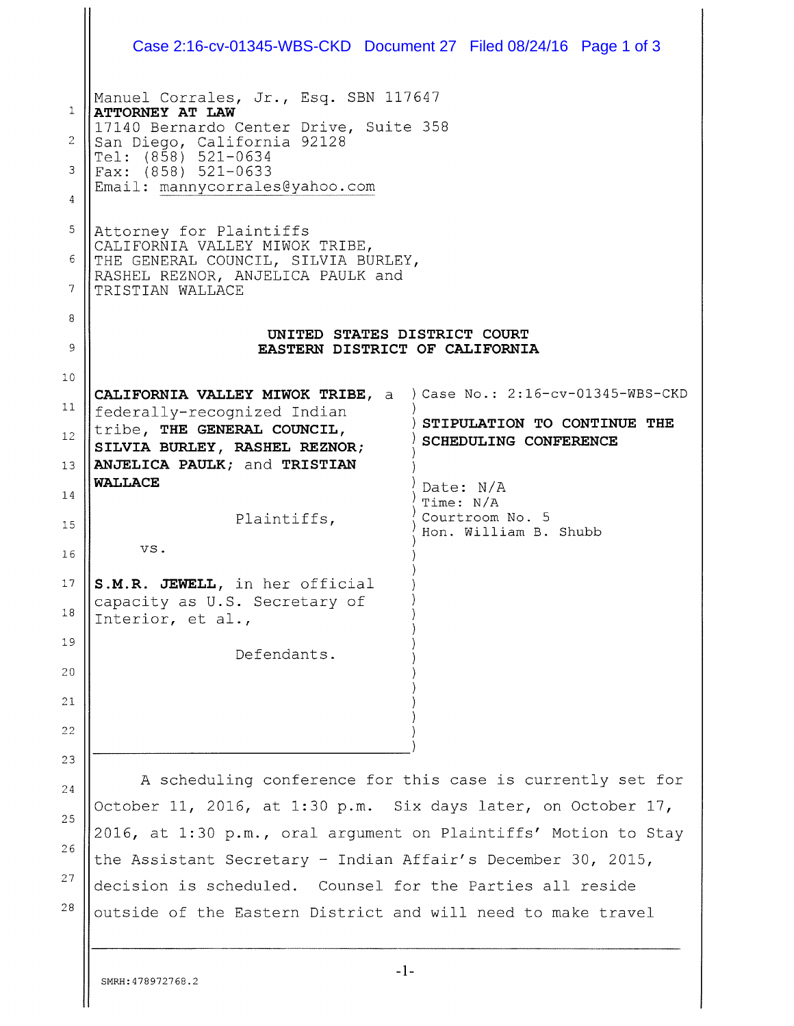|    | Case 2:16-cv-01345-WBS-CKD  Document 27  Filed 08/24/16  Page 1 of 3                                                 |                        |                                          |  |
|----|----------------------------------------------------------------------------------------------------------------------|------------------------|------------------------------------------|--|
|    | Manuel Corrales, Jr., Esq. SBN 117647                                                                                |                        |                                          |  |
| 1  | ATTORNEY AT LAW<br>17140 Bernardo Center Drive, Suite 358                                                            |                        |                                          |  |
| 2  | San Diego, California 92128<br>Tel: (858) 521-0634                                                                   |                        |                                          |  |
| 3  | Fax: (858) 521-0633<br>Email: mannycorrales@yahoo.com                                                                |                        |                                          |  |
| 4  |                                                                                                                      |                        |                                          |  |
| 5  | Attorney for Plaintiffs<br>CALIFORNIA VALLEY MIWOK TRIBE,                                                            |                        |                                          |  |
| 6  | THE GENERAL COUNCIL, SILVIA BURLEY,<br>RASHEL REZNOR, ANJELICA PAULK and                                             |                        |                                          |  |
| 7  | TRISTIAN WALLACE                                                                                                     |                        |                                          |  |
| 8  | UNITED STATES DISTRICT COURT                                                                                         |                        |                                          |  |
| 9  | EASTERN DISTRICT OF CALIFORNIA                                                                                       |                        |                                          |  |
| 10 | CALIFORNIA VALLEY MIWOK TRIBE, a ) Case No.: 2:16-cv-01345-WBS-CKD                                                   |                        |                                          |  |
| 11 | federally-recognized Indian                                                                                          |                        |                                          |  |
| 12 | STIPULATION TO CONTINUE THE<br>tribe, THE GENERAL COUNCIL,<br>SCHEDULING CONFERENCE<br>SILVIA BURLEY, RASHEL REZNOR; |                        |                                          |  |
| 13 | ANJELICA PAULK; and TRISTIAN                                                                                         |                        |                                          |  |
| 14 | <b>WALLACE</b>                                                                                                       | Date: N/A<br>Time: N/A |                                          |  |
| 15 | Plaintiffs,                                                                                                          |                        | Courtroom No. 5<br>Hon. William B. Shubb |  |
| 16 | VS.                                                                                                                  |                        |                                          |  |
| 17 | S.M.R. JEWELL, in her official                                                                                       |                        |                                          |  |
| 18 | capacity as U.S. Secretary of<br>Interior, et al.,                                                                   |                        |                                          |  |
| 19 | Defendants.                                                                                                          |                        |                                          |  |
| 20 |                                                                                                                      |                        |                                          |  |
| 21 |                                                                                                                      |                        |                                          |  |
| 22 |                                                                                                                      |                        |                                          |  |
| 23 |                                                                                                                      |                        |                                          |  |
| 24 | A scheduling conference for this case is currently set for                                                           |                        |                                          |  |
| 25 | October 11, 2016, at 1:30 p.m. Six days later, on October 17,                                                        |                        |                                          |  |
| 26 | 2016, at 1:30 p.m., oral argument on Plaintiffs' Motion to Stay                                                      |                        |                                          |  |
| 27 | the Assistant Secretary - Indian Affair's December 30, 2015,                                                         |                        |                                          |  |
| 28 | decision is scheduled. Counsel for the Parties all reside                                                            |                        |                                          |  |
|    | outside of the Eastern District and will need to make travel                                                         |                        |                                          |  |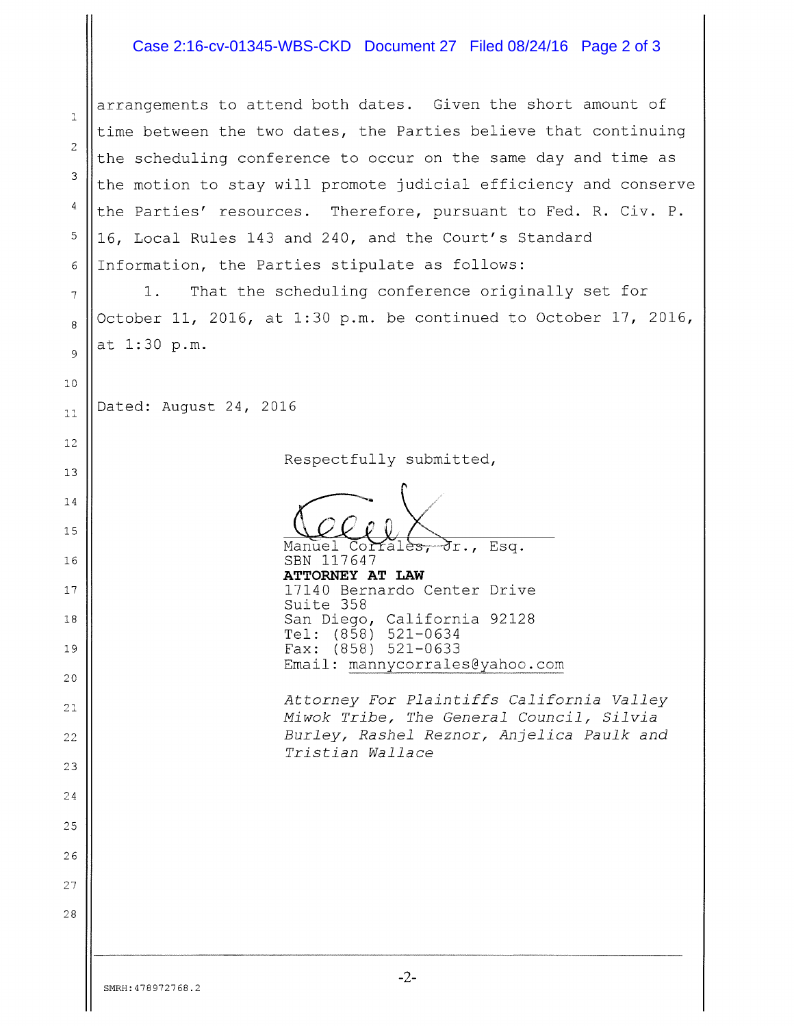## Case 2:16-cv-01345-WBS-CKD Document 27 Filed 08/24/16 Page 2 of 3

arrangements to attend both dates. Given the short amount of  $\overline{1}$ time between the two dates, the Parties believe that continuing  $\overline{2}$ the scheduling conference to occur on the same day and time as 3 the motion to stay will promote judicial efficiency and conserve  $\overline{4}$ the Parties' resources. Therefore, pursuant to Fed. R. Civ. P. 5 16, Local Rules 143 and 240, and the Court's Standard 6 Information, the Parties stipulate as follows: 1. That the scheduling conference originally set for 7  $8 \parallel$ October 11, 2016, at 1:30 p.m. be continued to October 17, 2016, at 1:30 p.m.  $\mathbf{Q}$  $10$ Dated: August 24, 2016  $11$  $12$ Respectfully submitted, 13 14 15 Manuel Corrales, Jr., Esq. 16 || SBN 117647 ATTORNEY AT LAW <sup>17</sup> 17140 Bernardo Center Drive Suite 358 <sup>18</sup> San Diego, California 92128 Tel: (858) 521—0634 Fax: (858) 521—0633 19 Email: mannycorrales@yahoo.com 20 Attorney For Plaintiffs California Valley 21 Miwok Tribe, The General Council, Silvia Burley, Rashel Reznor, Anjelica Paulk and 22 Tristian Wallace 23 24 25 26 27 28